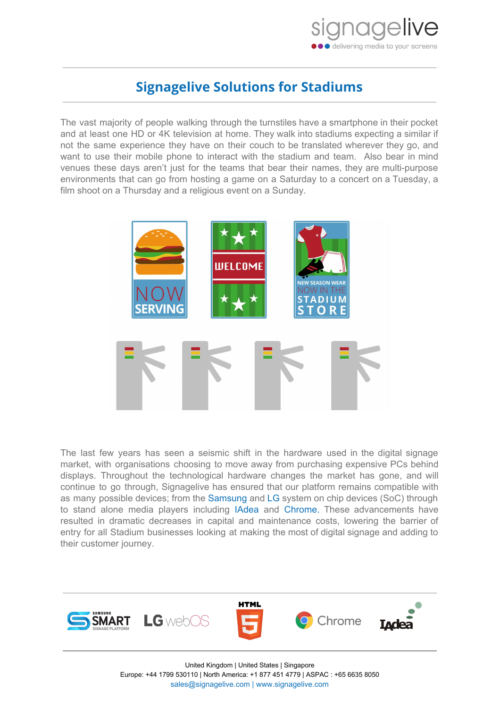

## **Signagelive Solutions for Stadiums**

The vast majority of people walking through the turnstiles have a smartphone in their pocket and at least one HD or 4K television at home. They walk into stadiums expecting a similar if not the same experience they have on their couch to be translated wherever they go, and want to use their mobile phone to interact with the stadium and team. Also bear in mind venues these days aren't just for the teams that bear their names, they are multi-purpose environments that can go from hosting a game on a Saturday to a concert on a Tuesday, a film shoot on a Thursday and a religious event on a Sunday.



The last few years has seen a seismic shift in the hardware used in the digital signage market, with organisations choosing to move away from purchasing expensive PCs behind displays. Throughout the technological hardware changes the market has gone, and will continue to go through, Signagelive has ensured that our platform remains compatible with as many possible devices; from the [Samsung](http://samsung.signagelive.com/) and [LG](http://lg.signagelive.com/) system on chip devices (SoC) through to stand alone media players including [IAdea](http://iadea.signagelive.com/) and [Chrome.](http://chrome.signagelive.com/) These advancements have resulted in dramatic decreases in capital and maintenance costs, lowering the barrier of entry for all Stadium businesses looking at making the most of digital signage and adding to their customer journey.



United Kingdom | United States | Singapore Europe: +44 1799 530110 | North America: +1 877 451 4779 | ASPAC : +65 6635 8050 [sales@signagelive.com](mailto:sales@signagelive.com) | [www.signagelive.com](http://www.signagelive.com/)